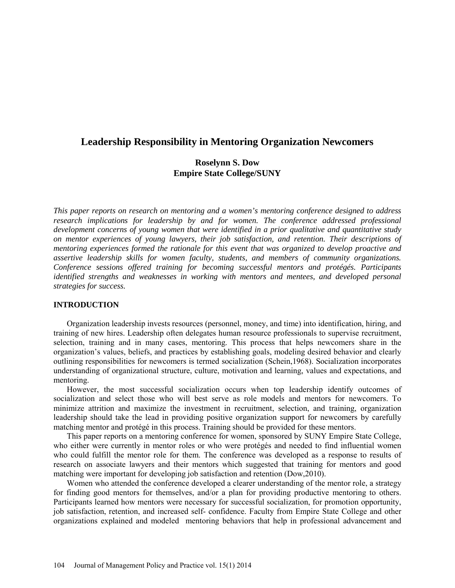# **Leadership Responsibility in Mentoring Organization Newcomers**

## **Roselynn S. Dow Empire State College/SUNY**

*This paper reports on research on mentoring and a women's mentoring conference designed to address*  research implications for leadership by and for women. The conference addressed professional *development concerns of young women that were identified in a prior qualitative and quantitative study on mentor experiences of young lawyers, their job satisfaction, and retention. Their descriptions of mentoring experiences formed the rationale for this event that was organized to develop proactive and assertive leadership skills for women faculty, students, and members of community organizations. Conference sessions offered training for becoming successful mentors and protégés. Participants identified strengths and weaknesses in working with mentors and mentees, and developed personal strategies for success.*

### **INTRODUCTION**

 Organization leadership invests resources (personnel, money, and time) into identification, hiring, and training of new hires. Leadership often delegates human resource professionals to supervise recruitment, selection, training and in many cases, mentoring. This process that helps newcomers share in the organization's values, beliefs, and practices by establishing goals, modeling desired behavior and clearly outlining responsibilities for newcomers is termed socialization (Schein,1968). Socialization incorporates understanding of organizational structure, culture, motivation and learning, values and expectations, and mentoring.

However, the most successful socialization occurs when top leadership identify outcomes of socialization and select those who will best serve as role models and mentors for newcomers. To minimize attrition and maximize the investment in recruitment, selection, and training, organization leadership should take the lead in providing positive organization support for newcomers by carefully matching mentor and protégé in this process. Training should be provided for these mentors.

This paper reports on a mentoring conference for women, sponsored by SUNY Empire State College, who either were currently in mentor roles or who were protégés and needed to find influential women who could fulfill the mentor role for them. The conference was developed as a response to results of research on associate lawyers and their mentors which suggested that training for mentors and good matching were important for developing job satisfaction and retention (Dow,2010).

Women who attended the conference developed a clearer understanding of the mentor role, a strategy for finding good mentors for themselves, and/or a plan for providing productive mentoring to others. Participants learned how mentors were necessary for successful socialization, for promotion opportunity, job satisfaction, retention, and increased self- confidence. Faculty from Empire State College and other organizations explained and modeled mentoring behaviors that help in professional advancement and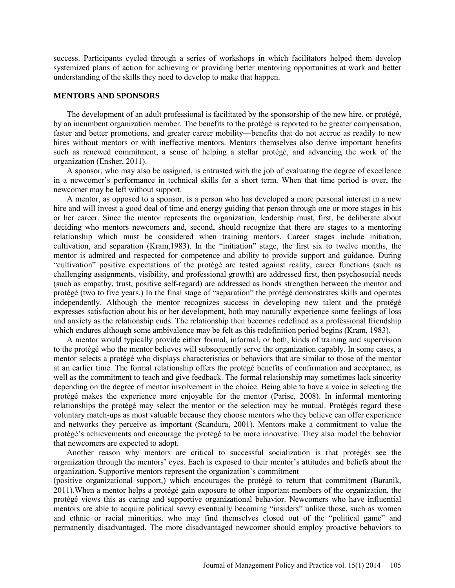success. Participants cycled through a series of workshops in which facilitators helped them develop systemized plans of action for achieving or providing better mentoring opportunities at work and better understanding of the skills they need to develop to make that happen.

### **MENTORS AND SPONSORS**

The development of an adult professional is facilitated by the sponsorship of the new hire, or protégé, by an incumbent organization member. The benefits to the protégé is reported to be greater compensation, faster and better promotions, and greater career mobility—benefits that do not accrue as readily to new hires without mentors or with ineffective mentors. Mentors themselves also derive important benefits such as renewed commitment, a sense of helping a stellar protégé, and advancing the work of the organization (Ensher, 2011).

A sponsor, who may also be assigned, is entrusted with the job of evaluating the degree of excellence in a newcomer's performance in technical skills for a short term. When that time period is over, the newcomer may be left without support.

A mentor, as opposed to a sponsor, is a person who has developed a more personal interest in a new hire and will invest a good deal of time and energy guiding that person through one or more stages in his or her career. Since the mentor represents the organization, leadership must, first, be deliberate about deciding who mentors newcomers and, second, should recognize that there are stages to a mentoring relationship which must be considered when training mentors. Career stages include initiation, cultivation, and separation (Kram,1983). In the "initiation" stage, the first six to twelve months, the mentor is admired and respected for competence and ability to provide support and guidance. During "cultivation" positive expectations of the protégé are tested against reality, career functions (such as challenging assignments, visibility, and professional growth) are addressed first, then psychosocial needs (such as empathy, trust, positive self-regard) are addressed as bonds strengthen between the mentor and protégé (two to five years.) In the final stage of "separation" the protégé demonstrates skills and operates independently. Although the mentor recognizes success in developing new talent and the protégé expresses satisfaction about his or her development, both may naturally experience some feelings of loss and anxiety as the relationship ends. The relationship then becomes redefined as a professional friendship which endures although some ambivalence may be felt as this redefinition period begins (Kram, 1983).

A mentor would typically provide either formal, informal, or both, kinds of training and supervision to the protégé who the mentor believes will subsequently serve the organization capably. In some cases, a mentor selects a protégé who displays characteristics or behaviors that are similar to those of the mentor at an earlier time. The formal relationship offers the protégé benefits of confirmation and acceptance, as well as the commitment to teach and give feedback. The formal relationship may sometimes lack sincerity depending on the degree of mentor involvement in the choice. Being able to have a voice in selecting the protégé makes the experience more enjoyable for the mentor (Parise, 2008). In informal mentoring relationships the protégé may select the mentor or the selection may be mutual. Protégés regard these voluntary match-ups as most valuable because they choose mentors who they believe can offer experience and networks they perceive as important (Scandura, 2001). Mentors make a commitment to value the protégé's achievements and encourage the protégé to be more innovative. They also model the behavior that newcomers are expected to adopt.

Another reason why mentors are critical to successful socialization is that protégés see the organization through the mentors' eyes. Each is exposed to their mentor's attitudes and beliefs about the organization. Supportive mentors represent the organization's commitment

(positive organizational support,) which encourages the protégé to return that commitment (Baranik, 2011).When a mentor helps a protégé gain exposure to other important members of the organization, the protégé views this as caring and supportive organizational behavior. Newcomers who have influential mentors are able to acquire political savvy eventually becoming "insiders" unlike those, such as women and ethnic or racial minorities, who may find themselves closed out of the "political game" and permanently disadvantaged. The more disadvantaged newcomer should employ proactive behaviors to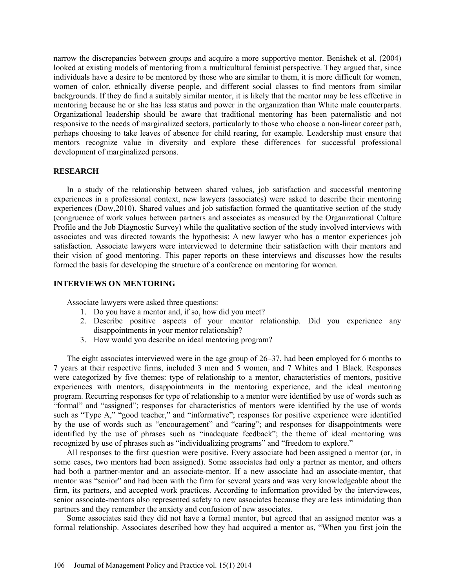narrow the discrepancies between groups and acquire a more supportive mentor. Benishek et al. (2004) looked at existing models of mentoring from a multicultural feminist perspective. They argued that, since individuals have a desire to be mentored by those who are similar to them, it is more difficult for women, women of color, ethnically diverse people, and different social classes to find mentors from similar backgrounds. If they do find a suitably similar mentor, it is likely that the mentor may be less effective in mentoring because he or she has less status and power in the organization than White male counterparts. Organizational leadership should be aware that traditional mentoring has been paternalistic and not responsive to the needs of marginalized sectors, particularly to those who choose a non-linear career path, perhaps choosing to take leaves of absence for child rearing, for example. Leadership must ensure that mentors recognize value in diversity and explore these differences for successful professional development of marginalized persons.

### **RESEARCH**

In a study of the relationship between shared values, job satisfaction and successful mentoring experiences in a professional context, new lawyers (associates) were asked to describe their mentoring experiences (Dow,2010). Shared values and job satisfaction formed the quantitative section of the study (congruence of work values between partners and associates as measured by the Organizational Culture Profile and the Job Diagnostic Survey) while the qualitative section of the study involved interviews with associates and was directed towards the hypothesis: A new lawyer who has a mentor experiences job satisfaction. Associate lawyers were interviewed to determine their satisfaction with their mentors and their vision of good mentoring. This paper reports on these interviews and discusses how the results formed the basis for developing the structure of a conference on mentoring for women.

### **INTERVIEWS ON MENTORING**

Associate lawyers were asked three questions:

- 1. Do you have a mentor and, if so, how did you meet?
- 2. Describe positive aspects of your mentor relationship. Did you experience any disappointments in your mentor relationship?
- 3. How would you describe an ideal mentoring program?

The eight associates interviewed were in the age group of 26–37, had been employed for 6 months to 7 years at their respective firms, included 3 men and 5 women, and 7 Whites and 1 Black. Responses were categorized by five themes: type of relationship to a mentor, characteristics of mentors, positive experiences with mentors, disappointments in the mentoring experience, and the ideal mentoring program. Recurring responses for type of relationship to a mentor were identified by use of words such as "formal" and "assigned"; responses for characteristics of mentors were identified by the use of words such as "Type A," "good teacher," and "informative"; responses for positive experience were identified by the use of words such as "encouragement" and "caring"; and responses for disappointments were identified by the use of phrases such as "inadequate feedback"; the theme of ideal mentoring was recognized by use of phrases such as "individualizing programs" and "freedom to explore."

All responses to the first question were positive. Every associate had been assigned a mentor (or, in some cases, two mentors had been assigned). Some associates had only a partner as mentor, and others had both a partner-mentor and an associate-mentor. If a new associate had an associate-mentor, that mentor was "senior" and had been with the firm for several years and was very knowledgeable about the firm, its partners, and accepted work practices. According to information provided by the interviewees, senior associate-mentors also represented safety to new associates because they are less intimidating than partners and they remember the anxiety and confusion of new associates.

Some associates said they did not have a formal mentor, but agreed that an assigned mentor was a formal relationship. Associates described how they had acquired a mentor as, "When you first join the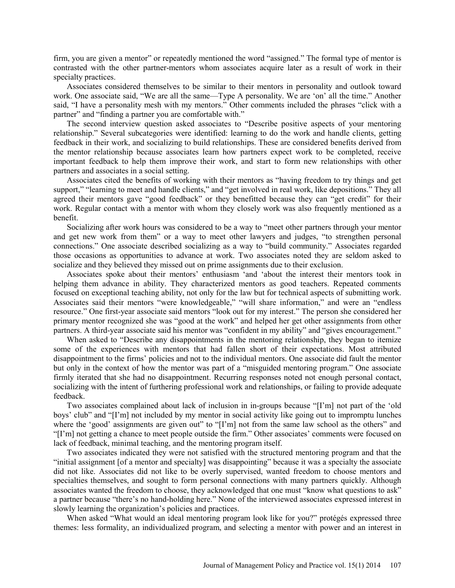firm, you are given a mentor" or repeatedly mentioned the word "assigned." The formal type of mentor is contrasted with the other partner-mentors whom associates acquire later as a result of work in their specialty practices.

Associates considered themselves to be similar to their mentors in personality and outlook toward work. One associate said, "We are all the same—Type A personality. We are 'on' all the time." Another said, "I have a personality mesh with my mentors." Other comments included the phrases "click with a partner" and "finding a partner you are comfortable with."

The second interview question asked associates to "Describe positive aspects of your mentoring relationship." Several subcategories were identified: learning to do the work and handle clients, getting feedback in their work, and socializing to build relationships. These are considered benefits derived from the mentor relationship because associates learn how partners expect work to be completed, receive important feedback to help them improve their work, and start to form new relationships with other partners and associates in a social setting.

Associates cited the benefits of working with their mentors as "having freedom to try things and get support," "learning to meet and handle clients," and "get involved in real work, like depositions." They all agreed their mentors gave "good feedback" or they benefitted because they can "get credit" for their work. Regular contact with a mentor with whom they closely work was also frequently mentioned as a benefit.

Socializing after work hours was considered to be a way to "meet other partners through your mentor and get new work from them" or a way to meet other lawyers and judges, "to strengthen personal connections." One associate described socializing as a way to "build community." Associates regarded those occasions as opportunities to advance at work. Two associates noted they are seldom asked to socialize and they believed they missed out on prime assignments due to their exclusion.

Associates spoke about their mentors' enthusiasm 'and 'about the interest their mentors took in helping them advance in ability. They characterized mentors as good teachers. Repeated comments focused on exceptional teaching ability, not only for the law but for technical aspects of submitting work. Associates said their mentors "were knowledgeable," "will share information," and were an "endless resource." One first-year associate said mentors "look out for my interest." The person she considered her primary mentor recognized she was "good at the work" and helped her get other assignments from other partners. A third-year associate said his mentor was "confident in my ability" and "gives encouragement."

When asked to "Describe any disappointments in the mentoring relationship, they began to itemize some of the experiences with mentors that had fallen short of their expectations. Most attributed disappointment to the firms' policies and not to the individual mentors. One associate did fault the mentor but only in the context of how the mentor was part of a "misguided mentoring program." One associate firmly iterated that she had no disappointment. Recurring responses noted not enough personal contact, socializing with the intent of furthering professional work and relationships, or failing to provide adequate feedback.

Two associates complained about lack of inclusion in in-groups because "[I'm] not part of the 'old boys' club" and "[I'm] not included by my mentor in social activity like going out to impromptu lunches where the 'good' assignments are given out" to "[I'm] not from the same law school as the others" and "[I'm] not getting a chance to meet people outside the firm." Other associates' comments were focused on lack of feedback, minimal teaching, and the mentoring program itself.

Two associates indicated they were not satisfied with the structured mentoring program and that the "initial assignment [of a mentor and specialty] was disappointing" because it was a specialty the associate did not like. Associates did not like to be overly supervised, wanted freedom to choose mentors and specialties themselves, and sought to form personal connections with many partners quickly. Although associates wanted the freedom to choose, they acknowledged that one must "know what questions to ask" a partner because "there's no hand-holding here." None of the interviewed associates expressed interest in slowly learning the organization's policies and practices.

When asked "What would an ideal mentoring program look like for you?" protégés expressed three themes: less formality, an individualized program, and selecting a mentor with power and an interest in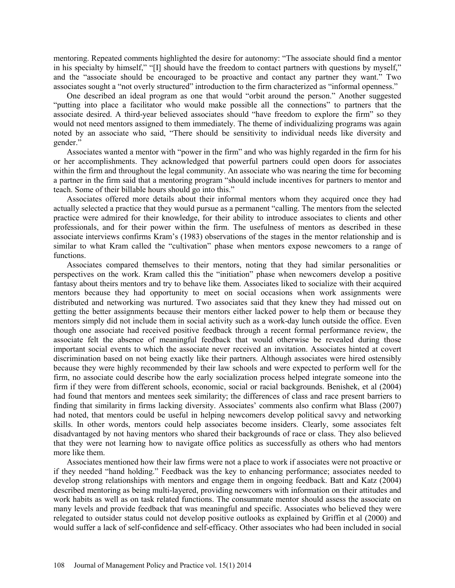mentoring. Repeated comments highlighted the desire for autonomy: "The associate should find a mentor in his specialty by himself," "[I] should have the freedom to contact partners with questions by myself," and the "associate should be encouraged to be proactive and contact any partner they want." Two associates sought a "not overly structured" introduction to the firm characterized as "informal openness."

One described an ideal program as one that would "orbit around the person." Another suggested "putting into place a facilitator who would make possible all the connections" to partners that the associate desired. A third-year believed associates should "have freedom to explore the firm" so they would not need mentors assigned to them immediately. The theme of individualizing programs was again noted by an associate who said, "There should be sensitivity to individual needs like diversity and gender."

Associates wanted a mentor with "power in the firm" and who was highly regarded in the firm for his or her accomplishments. They acknowledged that powerful partners could open doors for associates within the firm and throughout the legal community. An associate who was nearing the time for becoming a partner in the firm said that a mentoring program "should include incentives for partners to mentor and teach. Some of their billable hours should go into this."

Associates offered more details about their informal mentors whom they acquired once they had actually selected a practice that they would pursue as a permanent "calling. The mentors from the selected practice were admired for their knowledge, for their ability to introduce associates to clients and other professionals, and for their power within the firm. The usefulness of mentors as described in these associate interviews confirms Kram's (1983) observations of the stages in the mentor relationship and is similar to what Kram called the "cultivation" phase when mentors expose newcomers to a range of functions.

Associates compared themselves to their mentors, noting that they had similar personalities or perspectives on the work. Kram called this the "initiation" phase when newcomers develop a positive fantasy about theirs mentors and try to behave like them. Associates liked to socialize with their acquired mentors because they had opportunity to meet on social occasions when work assignments were distributed and networking was nurtured. Two associates said that they knew they had missed out on getting the better assignments because their mentors either lacked power to help them or because they mentors simply did not include them in social activity such as a work-day lunch outside the office. Even though one associate had received positive feedback through a recent formal performance review, the associate felt the absence of meaningful feedback that would otherwise be revealed during those important social events to which the associate never received an invitation. Associates hinted at covert discrimination based on not being exactly like their partners. Although associates were hired ostensibly because they were highly recommended by their law schools and were expected to perform well for the firm, no associate could describe how the early socialization process helped integrate someone into the firm if they were from different schools, economic, social or racial backgrounds. Benishek, et al (2004) had found that mentors and mentees seek similarity; the differences of class and race present barriers to finding that similarity in firms lacking diversity. Associates' comments also confirm what Blass (2007) had noted, that mentors could be useful in helping newcomers develop political savvy and networking skills. In other words, mentors could help associates become insiders. Clearly, some associates felt disadvantaged by not having mentors who shared their backgrounds of race or class. They also believed that they were not learning how to navigate office politics as successfully as others who had mentors more like them.

Associates mentioned how their law firms were not a place to work if associates were not proactive or if they needed "hand holding." Feedback was the key to enhancing performance; associates needed to develop strong relationships with mentors and engage them in ongoing feedback. Batt and Katz (2004) described mentoring as being multi-layered, providing newcomers with information on their attitudes and work habits as well as on task related functions. The consummate mentor should assess the associate on many levels and provide feedback that was meaningful and specific. Associates who believed they were relegated to outsider status could not develop positive outlooks as explained by Griffin et al (2000) and would suffer a lack of self-confidence and self-efficacy. Other associates who had been included in social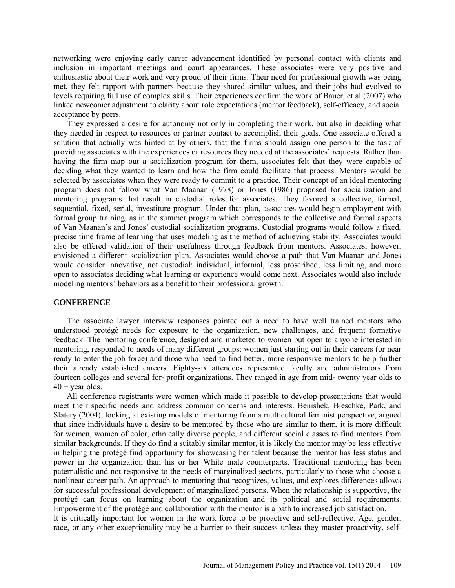networking were enjoying early career advancement identified by personal contact with clients and inclusion in important meetings and court appearances. These associates were very positive and enthusiastic about their work and very proud of their firms. Their need for professional growth was being met, they felt rapport with partners because they shared similar values, and their jobs had evolved to levels requiring full use of complex skills. Their experiences confirm the work of Bauer, et al (2007) who linked newcomer adjustment to clarity about role expectations (mentor feedback), self-efficacy, and social acceptance by peers.

They expressed a desire for autonomy not only in completing their work, but also in deciding what they needed in respect to resources or partner contact to accomplish their goals. One associate offered a solution that actually was hinted at by others, that the firms should assign one person to the task of providing associates with the experiences or resources they needed at the associates' requests. Rather than having the firm map out a socialization program for them, associates felt that they were capable of deciding what they wanted to learn and how the firm could facilitate that process. Mentors would be selected by associates when they were ready to commit to a practice. Their concept of an ideal mentoring program does not follow what Van Maanan (1978) or Jones (1986) proposed for socialization and mentoring programs that result in custodial roles for associates. They favored a collective, formal, sequential, fixed, serial, investiture program. Under that plan, associates would begin employment with formal group training, as in the summer program which corresponds to the collective and formal aspects of Van Maanan's and Jones' custodial socialization programs. Custodial programs would follow a fixed, precise time frame of learning that uses modeling as the method of achieving stability. Associates would also be offered validation of their usefulness through feedback from mentors. Associates, however, envisioned a different socialization plan. Associates would choose a path that Van Maanan and Jones would consider innovative, not custodial: individual, informal, less proscribed, less limiting, and more open to associates deciding what learning or experience would come next. Associates would also include modeling mentors' behaviors as a benefit to their professional growth.

### **CONFERENCE**

The associate lawyer interview responses pointed out a need to have well trained mentors who understood protégé needs for exposure to the organization, new challenges, and frequent formative feedback. The mentoring conference, designed and marketed to women but open to anyone interested in mentoring, responded to needs of many different groups: women just starting out in their careers (or near ready to enter the job force) and those who need to find better, more responsive mentors to help further their already established careers. Eighty-six attendees represented faculty and administrators from fourteen colleges and several for- profit organizations. They ranged in age from mid- twenty year olds to  $40 +$  year olds.

All conference registrants were women which made it possible to develop presentations that would meet their specific needs and address common concerns and interests. Benishek, Bieschke, Park, and Slatery (2004), looking at existing models of mentoring from a multicultural feminist perspective, argued that since individuals have a desire to be mentored by those who are similar to them, it is more difficult for women, women of color, ethnically diverse people, and different social classes to find mentors from similar backgrounds. If they do find a suitably similar mentor, it is likely the mentor may be less effective in helping the protégé find opportunity for showcasing her talent because the mentor has less status and power in the organization than his or her White male counterparts. Traditional mentoring has been paternalistic and not responsive to the needs of marginalized sectors, particularly to those who choose a nonlinear career path. An approach to mentoring that recognizes, values, and explores differences allows for successful professional development of marginalized persons. When the relationship is supportive, the protégé can focus on learning about the organization and its political and social requirements. Empowerment of the protégé and collaboration with the mentor is a path to increased job satisfaction.

It is critically important for women in the work force to be proactive and self-reflective. Age, gender, race, or any other exceptionality may be a barrier to their success unless they master proactivity, self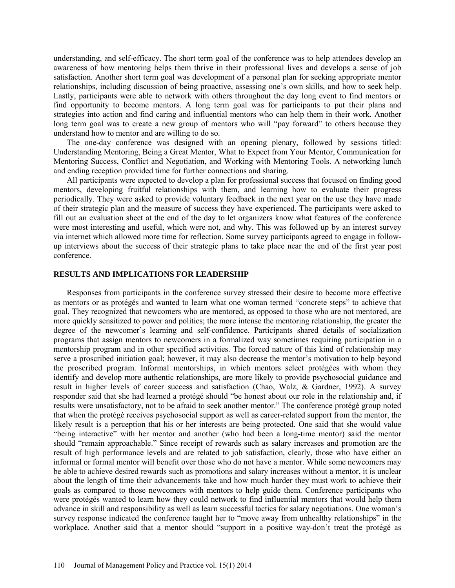understanding, and self-efficacy. The short term goal of the conference was to help attendees develop an awareness of how mentoring helps them thrive in their professional lives and develops a sense of job satisfaction. Another short term goal was development of a personal plan for seeking appropriate mentor relationships, including discussion of being proactive, assessing one's own skills, and how to seek help. Lastly, participants were able to network with others throughout the day long event to find mentors or find opportunity to become mentors. A long term goal was for participants to put their plans and strategies into action and find caring and influential mentors who can help them in their work. Another long term goal was to create a new group of mentors who will "pay forward" to others because they understand how to mentor and are willing to do so.

The one-day conference was designed with an opening plenary, followed by sessions titled: Understanding Mentoring, Being a Great Mentor, What to Expect from Your Mentor, Communication for Mentoring Success, Conflict and Negotiation, and Working with Mentoring Tools. A networking lunch and ending reception provided time for further connections and sharing.

All participants were expected to develop a plan for professional success that focused on finding good mentors, developing fruitful relationships with them, and learning how to evaluate their progress periodically. They were asked to provide voluntary feedback in the next year on the use they have made of their strategic plan and the measure of success they have experienced. The participants were asked to fill out an evaluation sheet at the end of the day to let organizers know what features of the conference were most interesting and useful, which were not, and why. This was followed up by an interest survey via internet which allowed more time for reflection. Some survey participants agreed to engage in followup interviews about the success of their strategic plans to take place near the end of the first year post conference.

#### **RESULTS AND IMPLICATIONS FOR LEADERSHIP**

Responses from participants in the conference survey stressed their desire to become more effective as mentors or as protégés and wanted to learn what one woman termed "concrete steps" to achieve that goal. They recognized that newcomers who are mentored, as opposed to those who are not mentored, are more quickly sensitized to power and politics; the more intense the mentoring relationship, the greater the degree of the newcomer's learning and self-confidence. Participants shared details of socialization programs that assign mentors to newcomers in a formalized way sometimes requiring participation in a mentorship program and in other specified activities. The forced nature of this kind of relationship may serve a proscribed initiation goal; however, it may also decrease the mentor's motivation to help beyond the proscribed program. Informal mentorships, in which mentors select protégées with whom they identify and develop more authentic relationships, are more likely to provide psychosocial guidance and result in higher levels of career success and satisfaction (Chao, Walz, & Gardner, 1992). A survey responder said that she had learned a protégé should "be honest about our role in the relationship and, if results were unsatisfactory, not to be afraid to seek another mentor." The conference protégé group noted that when the protégé receives psychosocial support as well as career-related support from the mentor, the likely result is a perception that his or her interests are being protected. One said that she would value "being interactive" with her mentor and another (who had been a long-time mentor) said the mentor should "remain approachable." Since receipt of rewards such as salary increases and promotion are the result of high performance levels and are related to job satisfaction, clearly, those who have either an informal or formal mentor will benefit over those who do not have a mentor. While some newcomers may be able to achieve desired rewards such as promotions and salary increases without a mentor, it is unclear about the length of time their advancements take and how much harder they must work to achieve their goals as compared to those newcomers with mentors to help guide them. Conference participants who were protégés wanted to learn how they could network to find influential mentors that would help them advance in skill and responsibility as well as learn successful tactics for salary negotiations. One woman's survey response indicated the conference taught her to "move away from unhealthy relationships" in the workplace. Another said that a mentor should "support in a positive way-don't treat the protégé as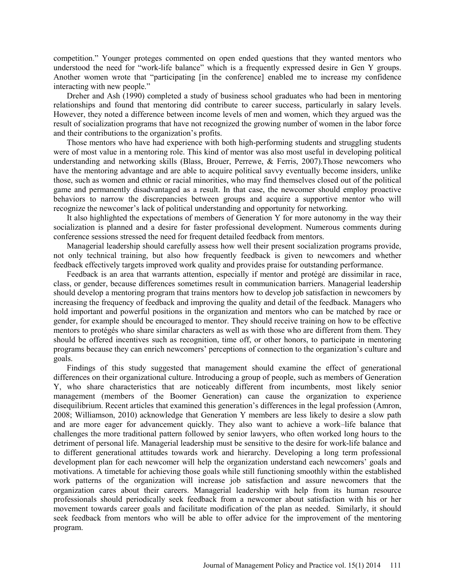competition." Younger proteges commented on open ended questions that they wanted mentors who understood the need for "work-life balance" which is a frequently expressed desire in Gen Y groups. Another women wrote that "participating [in the conference] enabled me to increase my confidence interacting with new people."

Dreher and Ash (1990) completed a study of business school graduates who had been in mentoring relationships and found that mentoring did contribute to career success, particularly in salary levels. However, they noted a difference between income levels of men and women, which they argued was the result of socialization programs that have not recognized the growing number of women in the labor force and their contributions to the organization's profits.

Those mentors who have had experience with both high-performing students and struggling students were of most value in a mentoring role. This kind of mentor was also most useful in developing political understanding and networking skills (Blass, Brouer, Perrewe, & Ferris, 2007).Those newcomers who have the mentoring advantage and are able to acquire political savvy eventually become insiders, unlike those, such as women and ethnic or racial minorities, who may find themselves closed out of the political game and permanently disadvantaged as a result. In that case, the newcomer should employ proactive behaviors to narrow the discrepancies between groups and acquire a supportive mentor who will recognize the newcomer's lack of political understanding and opportunity for networking.

It also highlighted the expectations of members of Generation Y for more autonomy in the way their socialization is planned and a desire for faster professional development. Numerous comments during conference sessions stressed the need for frequent detailed feedback from mentors.

Managerial leadership should carefully assess how well their present socialization programs provide, not only technical training, but also how frequently feedback is given to newcomers and whether feedback effectively targets improved work quality and provides praise for outstanding performance.

Feedback is an area that warrants attention, especially if mentor and protégé are dissimilar in race, class, or gender, because differences sometimes result in communication barriers. Managerial leadership should develop a mentoring program that trains mentors how to develop job satisfaction in newcomers by increasing the frequency of feedback and improving the quality and detail of the feedback. Managers who hold important and powerful positions in the organization and mentors who can be matched by race or gender, for example should be encouraged to mentor. They should receive training on how to be effective mentors to protégés who share similar characters as well as with those who are different from them. They should be offered incentives such as recognition, time off, or other honors, to participate in mentoring programs because they can enrich newcomers' perceptions of connection to the organization's culture and goals.

Findings of this study suggested that management should examine the effect of generational differences on their organizational culture. Introducing a group of people, such as members of Generation Y, who share characteristics that are noticeably different from incumbents, most likely senior management (members of the Boomer Generation) can cause the organization to experience disequilibrium. Recent articles that examined this generation's differences in the legal profession (Amron, 2008; Williamson, 2010) acknowledge that Generation Y members are less likely to desire a slow path and are more eager for advancement quickly. They also want to achieve a work–life balance that challenges the more traditional pattern followed by senior lawyers, who often worked long hours to the detriment of personal life. Managerial leadership must be sensitive to the desire for work-life balance and to different generational attitudes towards work and hierarchy. Developing a long term professional development plan for each newcomer will help the organization understand each newcomers' goals and motivations. A timetable for achieving those goals while still functioning smoothly within the established work patterns of the organization will increase job satisfaction and assure newcomers that the organization cares about their careers. Managerial leadership with help from its human resource professionals should periodically seek feedback from a newcomer about satisfaction with his or her movement towards career goals and facilitate modification of the plan as needed. Similarly, it should seek feedback from mentors who will be able to offer advice for the improvement of the mentoring program.